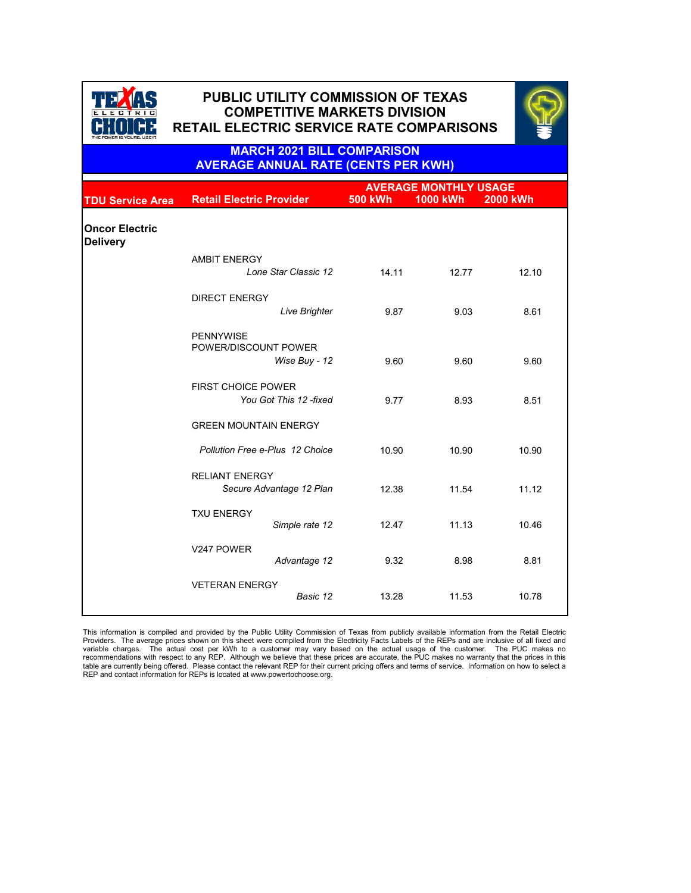

## **PUBLIC UTILITY COMMISSION OF TEXAS PUBLIC UTILITY COMMISSION OF TEXAS COMPETITIVE MARKETS DIVISION COMPETITIVE MARKETS DIVISION RETAIL ELECTRIC SERVICE RATE COMPARISONS RETAIL ELECTRIC SERVICE RATE COMPARISONS**



**MARCH 2021 BILL COMPARISON AVERAGE ANNUAL RATE (CENTS PER KWH)**

|                                          |                                                           |                | <b>AVERAGE MONTHLY USAGE</b> |                 |
|------------------------------------------|-----------------------------------------------------------|----------------|------------------------------|-----------------|
| <b>TDU Service Area</b>                  | <b>Retail Electric Provider</b>                           | <b>500 kWh</b> | <b>1000 kWh</b>              | <b>2000 kWh</b> |
| <b>Oncor Electric</b><br><b>Delivery</b> |                                                           |                |                              |                 |
|                                          | <b>AMBIT ENERGY</b><br>Lone Star Classic 12               | 14.11          | 12.77                        | 12.10           |
|                                          | <b>DIRECT ENERGY</b><br>Live Brighter                     | 9.87           | 9.03                         | 8.61            |
|                                          | <b>PENNYWISE</b><br>POWER/DISCOUNT POWER<br>Wise Buy - 12 | 9.60           | 9.60                         | 9.60            |
|                                          | <b>FIRST CHOICE POWER</b><br>You Got This 12 -fixed       | 9.77           | 8.93                         | 8.51            |
|                                          | <b>GREEN MOUNTAIN ENERGY</b>                              |                |                              |                 |
|                                          | Pollution Free e-Plus 12 Choice                           | 10.90          | 10.90                        | 10.90           |
|                                          | <b>RELIANT ENERGY</b><br>Secure Advantage 12 Plan         | 12.38          | 11.54                        | 11.12           |
|                                          | <b>TXU ENERGY</b><br>Simple rate 12                       | 12.47          | 11.13                        | 10.46           |
|                                          | V247 POWER<br>Advantage 12                                | 9.32           | 8.98                         | 8.81            |
|                                          | <b>VETERAN ENERGY</b><br>Basic 12                         | 13.28          | 11.53                        | 10.78           |

This information is compiled and provided by the Public Utility Commission of Texas from publicly available information from the Retail Electric<br>Providers. The average prices shown on this sheet were compiled from the Ele recommendations with respect to any REP. Although we believe that these prices are accurate, the PUC makes no warranty that the prices in this<br>table are currently being offered. Please contact the relevant REP for their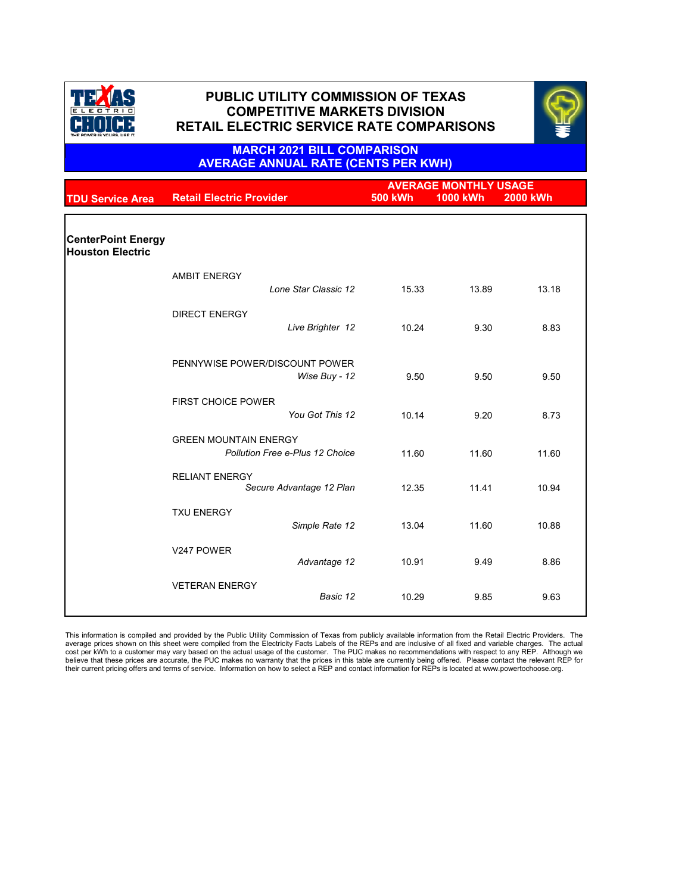



### **MARCH 2021 BILL COMPARISON AVERAGE ANNUAL RATE (CENTS PER KWH)**

|                           | <b>AVERAGE MONTHLY USAGE</b>                                    |                      |                |                 |                 |
|---------------------------|-----------------------------------------------------------------|----------------------|----------------|-----------------|-----------------|
| <b>TDU Service Area</b>   | <b>Retail Electric Provider</b>                                 |                      | <b>500 kWh</b> | <b>1000 kWh</b> | <b>2000 kWh</b> |
|                           |                                                                 |                      |                |                 |                 |
|                           |                                                                 |                      |                |                 |                 |
| <b>CenterPoint Energy</b> |                                                                 |                      |                |                 |                 |
| <b>Houston Electric</b>   |                                                                 |                      |                |                 |                 |
|                           |                                                                 |                      |                |                 |                 |
|                           | <b>AMBIT ENERGY</b>                                             |                      |                |                 |                 |
|                           |                                                                 | Lone Star Classic 12 | 15.33          | 13.89           | 13.18           |
|                           | <b>DIRECT ENERGY</b>                                            |                      |                |                 |                 |
|                           |                                                                 | Live Brighter 12     | 10.24          | 9.30            | 8.83            |
|                           |                                                                 |                      |                |                 |                 |
|                           |                                                                 |                      |                |                 |                 |
|                           | PENNYWISE POWER/DISCOUNT POWER                                  |                      |                |                 |                 |
|                           |                                                                 | Wise Buy - 12        | 9.50           | 9.50            | 9.50            |
|                           |                                                                 |                      |                |                 |                 |
|                           | <b>FIRST CHOICE POWER</b>                                       |                      |                |                 |                 |
|                           |                                                                 | You Got This 12      | 10.14          | 9.20            | 8.73            |
|                           |                                                                 |                      |                |                 |                 |
|                           | <b>GREEN MOUNTAIN ENERGY</b><br>Pollution Free e-Plus 12 Choice |                      | 11.60          | 11.60           | 11.60           |
|                           |                                                                 |                      |                |                 |                 |
|                           | <b>RELIANT ENERGY</b>                                           |                      |                |                 |                 |
|                           | Secure Advantage 12 Plan                                        |                      | 12.35          | 11.41           | 10.94           |
|                           |                                                                 |                      |                |                 |                 |
|                           | <b>TXU ENERGY</b>                                               |                      |                |                 |                 |
|                           |                                                                 | Simple Rate 12       | 13.04          | 11.60           | 10.88           |
|                           | V247 POWER                                                      |                      |                |                 |                 |
|                           |                                                                 | Advantage 12         | 10.91          | 9.49            | 8.86            |
|                           |                                                                 |                      |                |                 |                 |
|                           | <b>VETERAN ENERGY</b>                                           |                      |                |                 |                 |
|                           |                                                                 | Basic 12             | 10.29          | 9.85            | 9.63            |
|                           |                                                                 |                      |                |                 |                 |

This information is compiled and provided by the Public Utility Commission of Texas from publicly available information from the Retail Electric Providers. The<br>average prices shown on this sheet were compiled from the Ele cost per kWh to a customer may vary based on the actual usage of the customer. The PUC makes no recommendations with respect to any REP. Although we<br>believe that these prices are accurate, the PUC makes no warranty that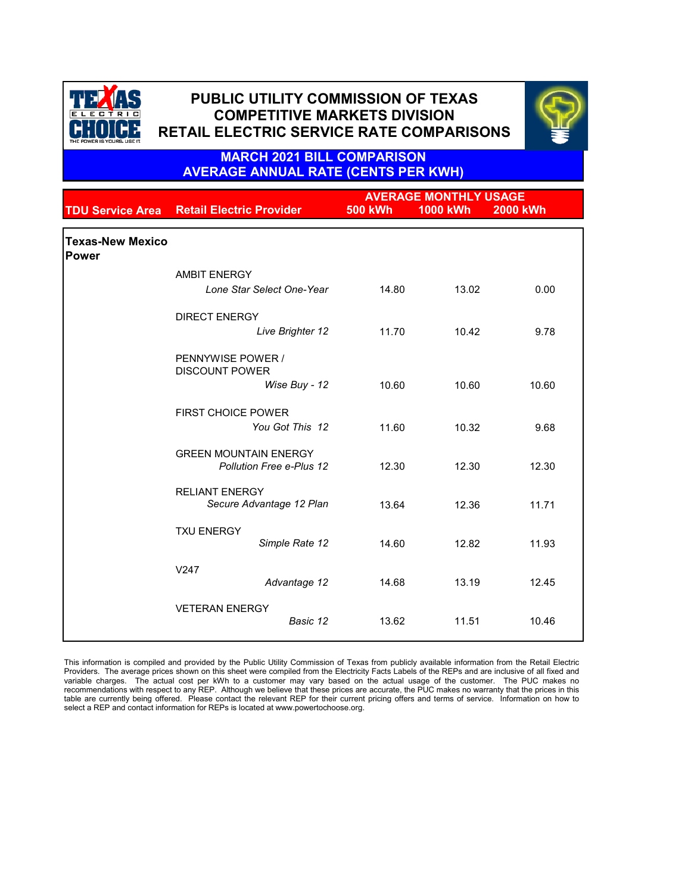



**MARCH 2021 BILL COMPARISON AVERAGE ANNUAL RATE (CENTS PER KWH)**

|                                  |                                                             |                | <b>AVERAGE MONTHLY USAGE</b> |                 |  |
|----------------------------------|-------------------------------------------------------------|----------------|------------------------------|-----------------|--|
|                                  | <b>TDU Service Area Retail Electric Provider</b>            | <b>500 kWh</b> | <b>1000 kWh</b>              | <b>2000 kWh</b> |  |
| <b>Texas-New Mexico</b><br>Power |                                                             |                |                              |                 |  |
|                                  | <b>AMBIT ENERGY</b><br>Lone Star Select One-Year            | 14.80          | 13.02                        | 0.00            |  |
|                                  | <b>DIRECT ENERGY</b><br>Live Brighter 12                    | 11.70          | 10.42                        | 9.78            |  |
|                                  | PENNYWISE POWER /<br><b>DISCOUNT POWER</b><br>Wise Buy - 12 | 10.60          | 10.60                        | 10.60           |  |
|                                  | <b>FIRST CHOICE POWER</b><br>You Got This 12                | 11.60          | 10.32                        | 9.68            |  |
|                                  | <b>GREEN MOUNTAIN ENERGY</b><br>Pollution Free e-Plus 12    | 12.30          | 12.30                        | 12.30           |  |
|                                  | <b>RELIANT ENERGY</b><br>Secure Advantage 12 Plan           | 13.64          | 12.36                        | 11.71           |  |
|                                  | <b>TXU ENERGY</b><br>Simple Rate 12                         | 14.60          | 12.82                        | 11.93           |  |
|                                  | V247<br>Advantage 12                                        | 14.68          | 13.19                        | 12.45           |  |
|                                  | <b>VETERAN ENERGY</b><br>Basic 12                           | 13.62          | 11.51                        | 10.46           |  |

This information is compiled and provided by the Public Utility Commission of Texas from publicly available information from the Retail Electric Providers. The average prices shown on this sheet were compiled from the Electricity Facts Labels of the REPs and are inclusive of all fixed and variable charges. The actual cost per kWh to a customer may vary based on the actual usage of the customer. The PUC makes no recommendations with respect to any REP. Although we believe that these prices are accurate, the PUC makes no warranty that the prices in this table are currently being offered. Please contact the relevant REP for their current pricing offers and terms of service. Information on how to select a REP and contact information for REPs is located at www.powertochoose.org.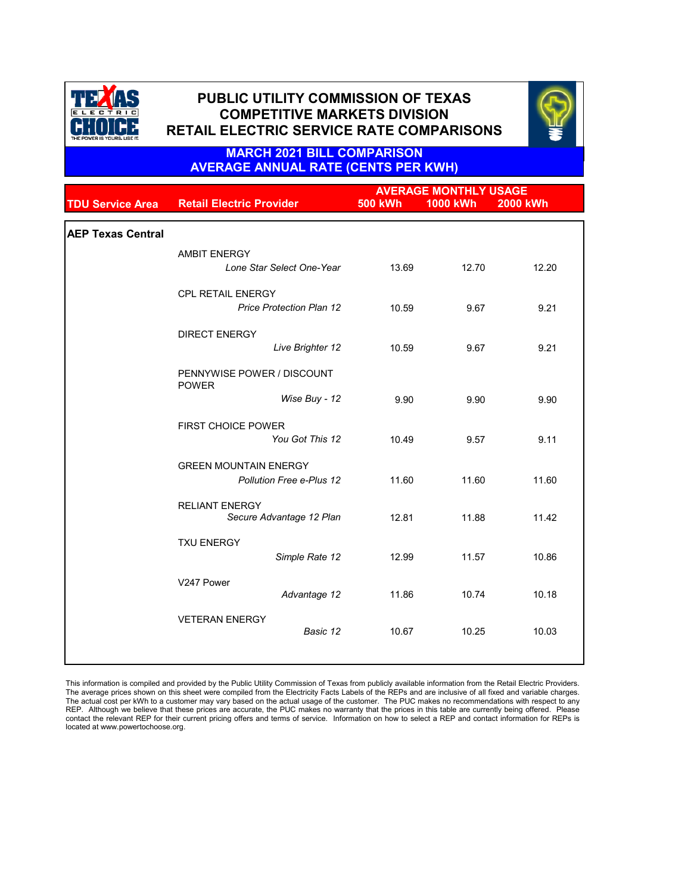



### **MARCH 2021 BILL COMPARISON AVERAGE ANNUAL RATE (CENTS PER KWH)**

|                          |                                                   | <b>AVERAGE MONTHLY USAGE</b> |                 |                 |
|--------------------------|---------------------------------------------------|------------------------------|-----------------|-----------------|
| <b>TDU Service Area</b>  | <b>Retail Electric Provider</b>                   | <b>500 kWh</b>               | <b>1000 kWh</b> | <b>2000 kWh</b> |
|                          |                                                   |                              |                 |                 |
| <b>AEP Texas Central</b> |                                                   |                              |                 |                 |
|                          | <b>AMBIT ENERGY</b>                               |                              |                 |                 |
|                          | Lone Star Select One-Year                         | 13.69                        | 12.70           | 12.20           |
|                          | <b>CPL RETAIL ENERGY</b>                          |                              |                 |                 |
|                          | <b>Price Protection Plan 12</b>                   | 10.59                        | 9.67            | 9.21            |
|                          | <b>DIRECT ENERGY</b>                              |                              |                 |                 |
|                          | Live Brighter 12                                  | 10.59                        | 9.67            | 9.21            |
|                          | PENNYWISE POWER / DISCOUNT<br><b>POWER</b>        |                              |                 |                 |
|                          | Wise Buy - 12                                     | 9.90                         | 9.90            | 9.90            |
|                          | <b>FIRST CHOICE POWER</b>                         |                              |                 |                 |
|                          | You Got This 12                                   | 10.49                        | 9.57            | 9.11            |
|                          | <b>GREEN MOUNTAIN ENERGY</b>                      |                              |                 |                 |
|                          | Pollution Free e-Plus 12                          | 11.60                        | 11.60           | 11.60           |
|                          | <b>RELIANT ENERGY</b><br>Secure Advantage 12 Plan | 12.81                        | 11.88           | 11.42           |
|                          |                                                   |                              |                 |                 |
|                          | <b>TXU ENERGY</b><br>Simple Rate 12               | 12.99                        | 11.57           | 10.86           |
|                          |                                                   |                              |                 |                 |
|                          | V247 Power<br>Advantage 12                        | 11.86                        | 10.74           | 10.18           |
|                          | <b>VETERAN ENERGY</b>                             |                              |                 |                 |
|                          | Basic 12                                          | 10.67                        | 10.25           | 10.03           |
|                          |                                                   |                              |                 |                 |

This information is compiled and provided by the Public Utility Commission of Texas from publicly available information from the Retail Electric Providers. The average prices shown on this sheet were compiled from the Electricity Facts Labels of the REPs and are inclusive of all fixed and variable charges.<br>The actual cost per kWh to a customer may vary based on the actual usa contact the relevant REP for their current pricing offers and terms of service. Information on how to select a REP and contact information for REPs is located at www.powertochoose.org.